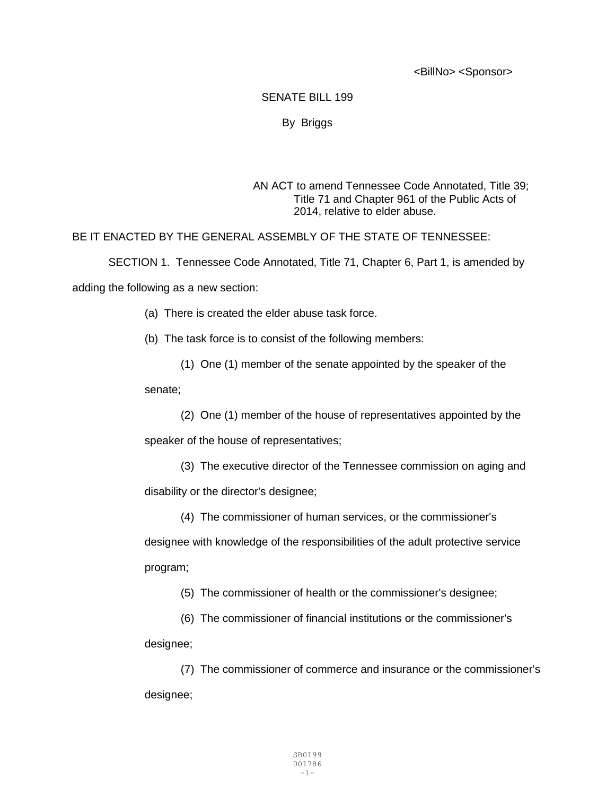<BillNo> <Sponsor>

## SENATE BILL 199

## By Briggs

## AN ACT to amend Tennessee Code Annotated, Title 39; Title 71 and Chapter 961 of the Public Acts of 2014, relative to elder abuse.

BE IT ENACTED BY THE GENERAL ASSEMBLY OF THE STATE OF TENNESSEE:

SECTION 1. Tennessee Code Annotated, Title 71, Chapter 6, Part 1, is amended by adding the following as a new section:

(a) There is created the elder abuse task force.

(b) The task force is to consist of the following members:

(1) One (1) member of the senate appointed by the speaker of the

senate;

(2) One (1) member of the house of representatives appointed by the

speaker of the house of representatives;

(3) The executive director of the Tennessee commission on aging and

disability or the director's designee;

(4) The commissioner of human services, or the commissioner's designee with knowledge of the responsibilities of the adult protective service program;

(5) The commissioner of health or the commissioner's designee;

(6) The commissioner of financial institutions or the commissioner's designee;

(7) The commissioner of commerce and insurance or the commissioner's designee;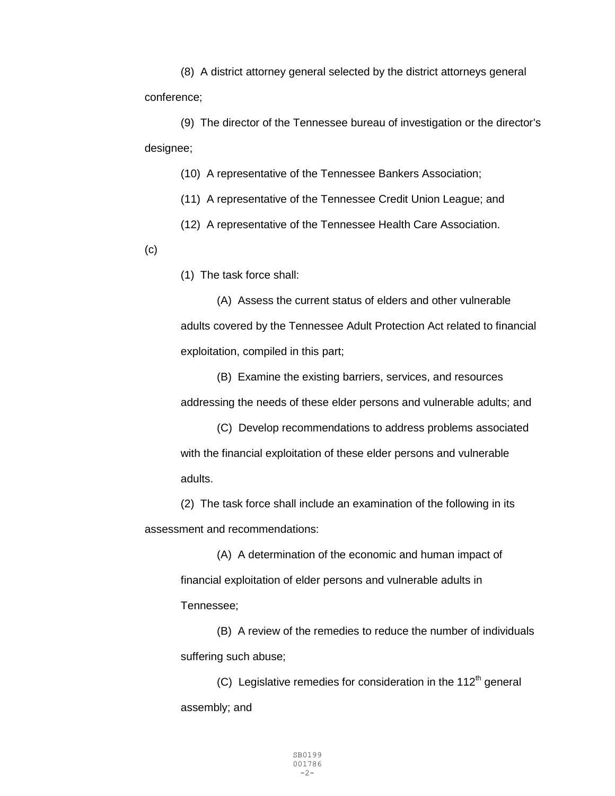(8) A district attorney general selected by the district attorneys general conference;

(9) The director of the Tennessee bureau of investigation or the director's designee;

(10) A representative of the Tennessee Bankers Association;

(11) A representative of the Tennessee Credit Union League; and

(12) A representative of the Tennessee Health Care Association.

 $(c)$ 

(1) The task force shall:

(A) Assess the current status of elders and other vulnerable adults covered by the Tennessee Adult Protection Act related to financial exploitation, compiled in this part;

(B) Examine the existing barriers, services, and resources addressing the needs of these elder persons and vulnerable adults; and

(C) Develop recommendations to address problems associated with the financial exploitation of these elder persons and vulnerable adults.

(2) The task force shall include an examination of the following in its assessment and recommendations:

(A) A determination of the economic and human impact of financial exploitation of elder persons and vulnerable adults in Tennessee;

(B) A review of the remedies to reduce the number of individuals suffering such abuse;

(C) Legislative remedies for consideration in the  $112<sup>th</sup>$  general assembly; and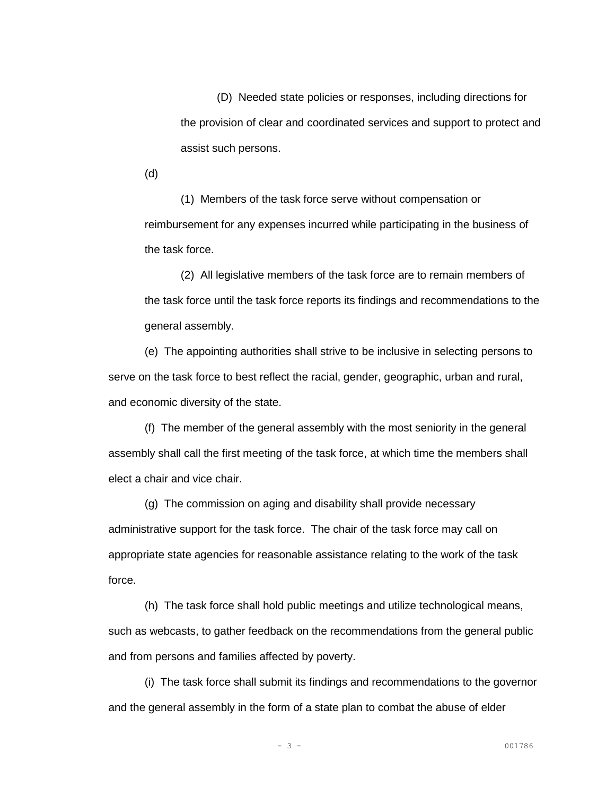(D) Needed state policies or responses, including directions for the provision of clear and coordinated services and support to protect and assist such persons.

(d)

(1) Members of the task force serve without compensation or reimbursement for any expenses incurred while participating in the business of the task force.

(2) All legislative members of the task force are to remain members of the task force until the task force reports its findings and recommendations to the general assembly.

(e) The appointing authorities shall strive to be inclusive in selecting persons to serve on the task force to best reflect the racial, gender, geographic, urban and rural, and economic diversity of the state.

(f) The member of the general assembly with the most seniority in the general assembly shall call the first meeting of the task force, at which time the members shall elect a chair and vice chair.

(g) The commission on aging and disability shall provide necessary administrative support for the task force. The chair of the task force may call on appropriate state agencies for reasonable assistance relating to the work of the task force.

(h) The task force shall hold public meetings and utilize technological means, such as webcasts, to gather feedback on the recommendations from the general public and from persons and families affected by poverty.

(i) The task force shall submit its findings and recommendations to the governor and the general assembly in the form of a state plan to combat the abuse of elder